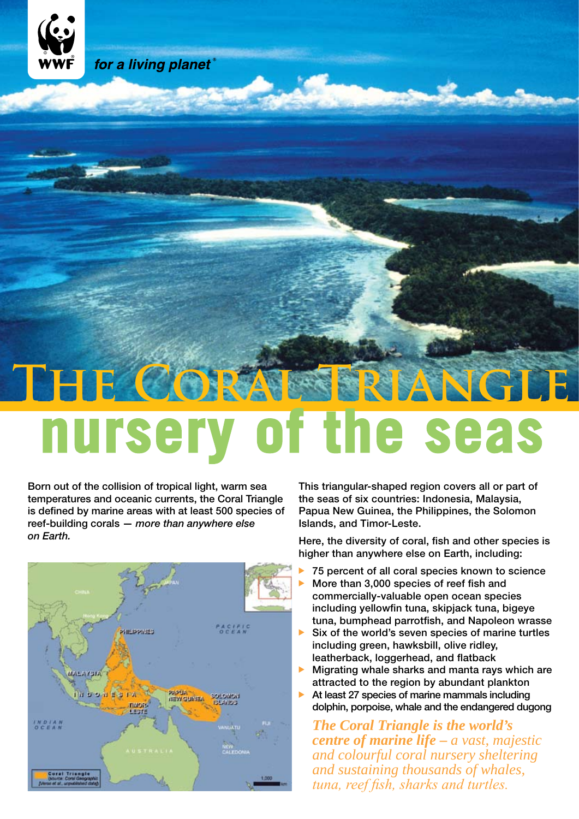

# THE CORAL TRIANGLE **nursery of the seas**

Born out of the collision of tropical light, warm sea temperatures and oceanic currents, the Coral Triangle is defined by marine areas with at least 500 species of reef-building corals — *more than anywhere else on Earth.*



This triangular-shaped region covers all or part of the seas of six countries: Indonesia, Malaysia, Papua New Guinea, the Philippines, the Solomon Islands, and Timor-Leste.

Here, the diversity of coral, fish and other species is higher than anywhere else on Earth, including:

- 75 percent of all coral species known to science
- More than 3,000 species of reef fish and commercially-valuable open ocean species including yellowfin tuna, skipjack tuna, bigeye tuna, bumphead parrotfish, and Napoleon wrasse
- $\triangleright$  Six of the world's seven species of marine turtles including green, hawksbill, olive ridley, leatherback, loggerhead, and flatback
- $\blacktriangleright$  Migrating whale sharks and manta rays which are attracted to the region by abundant plankton
- $\blacktriangleright$  At least 27 species of marine mammals including dolphin, porpoise, whale and the endangered dugong

*The Coral Triangle is the world's centre of marine life* **–** *a vast, majestic and colourful coral nursery sheltering and sustaining thousands of whales, tuna, reef fish, sharks and turtles.*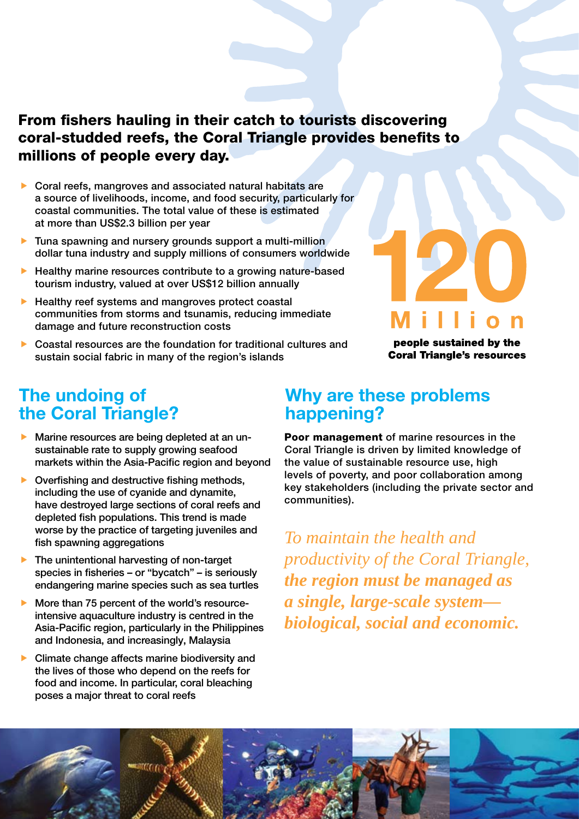#### From fishers hauling in their catch to tourists discovering coral-studded reefs, the Coral Triangle provides benefits to millions of people every day.

- Coral reefs, mangroves and associated natural habitats are a source of livelihoods, income, and food security, particularly for coastal communities. The total value of these is estimated at more than US\$2.3 billion per year
- **Tuna spawning and nursery grounds support a multi-million** dollar tuna industry and supply millions of consumers worldwide
- $\blacktriangleright$  Healthy marine resources contribute to a growing nature-based tourism industry, valued at over US\$12 billion annually
- $\blacktriangleright$  Healthy reef systems and mangroves protect coastal communities from storms and tsunamis, reducing immediate damage and future reconstruction costs
- Coastal resources are the foundation for traditional cultures and sustain social fabric in many of the region's islands



people sustained by the **Coral Triangle's resources** 

### **The undoing of the Coral Triangle?**

- Marine resources are being depleted at an unsustainable rate to supply growing seafood markets within the Asia-Pacific region and beyond
- $\triangleright$  Overfishing and destructive fishing methods, including the use of cyanide and dynamite, have destroyed large sections of coral reefs and depleted fish populations. This trend is made worse by the practice of targeting juveniles and fish spawning aggregations
- The unintentional harvesting of non-target species in fisheries – or "bycatch" – is seriously endangering marine species such as sea turtles
- More than 75 percent of the world's resourceintensive aquaculture industry is centred in the Asia-Pacific region, particularly in the Philippines and Indonesia, and increasingly, Malaysia
- Climate change affects marine biodiversity and the lives of those who depend on the reefs for food and income. In particular, coral bleaching poses a major threat to coral reefs

#### **Why are these problems happening?**

Poor management of marine resources in the the value of sustainable resource use, high levels of poverty, and poor collaboration among key stakeholders (including the private sector and communities). Coral Triangle is driven by limited knowledge of

*To maintain the health and productivity of the Coral Triangle, the region must be managed as a single, large-scale system biological, social and economic.*

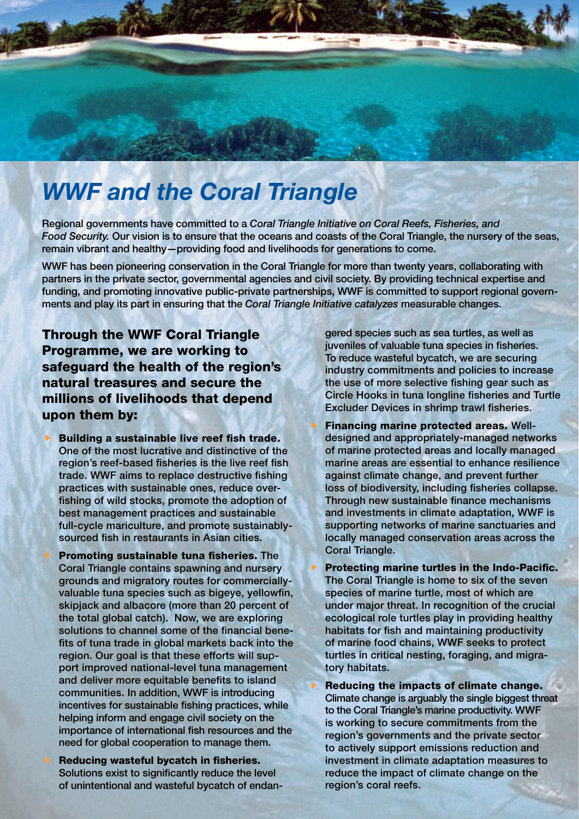## *WWF and the Coral Triangle*

Regional governments have committed to a *Coral Triangle Initiative on Coral Reefs, Fisheries, and*  Food Security. Our vision is to ensure that the oceans and coasts of the Coral Triangle, the nursery of the seas, remain vibrant and healthy—providing food and livelihoods for generations to come.

WWF has been pioneering conservation in the Coral Triangle for more than twenty years, collaborating with partners in the private sector, governmental agencies and civil society. By providing technical expertise and funding, and promoting innovative public-private partnerships, WWF is committed to support regional governments and play its part in ensuring that the *Coral Triangle Initiative catalyzes* measurable changes.

Through the WWF Coral Triangle Programme, we are working to safeguard the health of the region's natural treasures and secure the millions of livelihoods that depend upon them by:

- Building a sustainable live reef fish trade. One of the most lucrative and distinctive of the region's reef-based fisheries is the live reef fish trade. WWF aims to replace destructive fishing practices with sustainable ones, reduce overfishing of wild stocks, promote the adoption of best management practices and sustainable full-cycle mariculture, and promote sustainablysourced fish in restaurants in Asian cities.
	- Promoting sustainable tuna fisheries. The Coral Triangle contains spawning and nursery grounds and migratory routes for commerciallyvaluable tuna species such as bigeye, yellowfin, skipjack and albacore (more than 20 percent of the total global catch). Now, we are exploring solutions to channel some of the financial benefits of tuna trade in global markets back into the region. Our goal is that these efforts will support improved national-level tuna management and deliver more equitable benefits to island communities. In addition, WWF is introducing incentives for sustainable fishing practices, while helping inform and engage civil society on the importance of international fish resources and the need for global cooperation to manage them.

 Reducing wasteful bycatch in fisheries. Solutions exist to significantly reduce the level of unintentional and wasteful bycatch of endan-

gered species such as sea turtles, as well as juveniles of valuable tuna species in fisheries. To reduce wasteful bycatch, we are securing industry commitments and policies to increase the use of more selective fishing gear such as Circle Hooks in tuna longline fisheries and Turtle Excluder Devices in shrimp trawl fisheries.

- Financing marine protected areas. Welldesigned and appropriately-managed networks of marine protected areas and locally managed marine areas are essential to enhance resilience against climate change, and prevent further loss of biodiversity, including fisheries collapse. Through new sustainable finance mechanisms and investments in climate adaptation, WWF is supporting networks of marine sanctuaries and locally managed conservation areas across the Coral Triangle.
- Protecting marine turtles in the Indo-Pacific. The Coral Triangle is home to six of the seven species of marine turtle, most of which are under major threat. In recognition of the crucial ecological role turtles play in providing healthy habitats for fish and maintaining productivity of marine food chains, WWF seeks to protect turtles in critical nesting, foraging, and migratory habitats.
- Reducing the impacts of climate change. Climate change is arguably the single biggest threat to the Coral Triangle's marine productivity. WWF is working to secure commitments from the region's governments and the private sector to actively support emissions reduction and investment in climate adaptation measures to reduce the impact of climate change on the region's coral reefs.